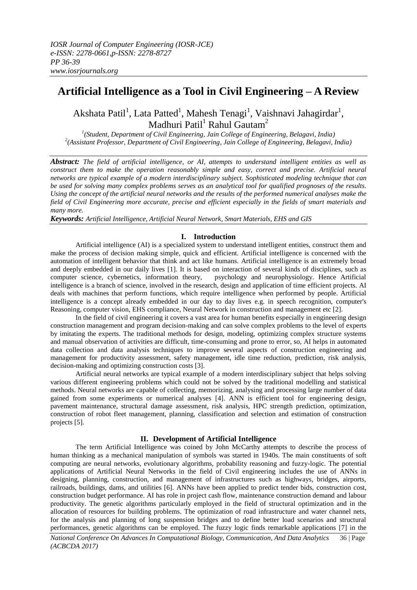# **Artificial Intelligence as a Tool in Civil Engineering – A Review**

Akshata Patil<sup>1</sup>, Lata Patted<sup>1</sup>, Mahesh Tenagi<sup>1</sup>, Vaishnavi Jahagirdar<sup>1</sup>, Madhuri Patil<sup>1</sup> Rahul Gautam<sup>2</sup>

*1 (Student, Department of Civil Engineering, Jain College of Engineering, Belagavi, India) 2 (Assistant Professor, Department of Civil Engineering, Jain College of Engineering, Belagavi, India)*

*Abstract: The field of artificial intelligence, or AI, attempts to understand intelligent entities as well as construct them to make the operation reasonably simple and easy, correct and precise. Artificial neural networks are typical example of a modern interdisciplinary subject. Sophisticated modeling technique that can be used for solving many complex problems serves as an analytical tool for qualified prognoses of the results. Using the concept of the artificial neural networks and the results of the performed numerical analyses make the field of Civil Engineering more accurate, precise and efficient especially in the fields of smart materials and many more.*

*Keywords: Artificial Intelligence, Artificial Neural Network, Smart Materials, EHS and GIS*

## **I. Introduction**

Artificial intelligence (AI) is a specialized system to understand intelligent entities, construct them and make the process of decision making simple, quick and efficient. Artificial intelligence is concerned with the automation of intelligent behavior that think and act like humans. Artificial intelligence is an extremely broad and deeply embedded in our daily lives [1]. It is based on interaction of several kinds of disciplines, such as computer science, cybernetics, information theory, psychology and neurophysiology. Hence Artificial intelligence is a branch of science, involved in the research, design and application of time efficient projects. AI deals with machines that perform functions, which require intelligence when performed by people. Artificial intelligence is a concept already embedded in our day to day lives e.g. in speech recognition, computer's Reasoning, computer vision, EHS compliance, Neural Network in construction and management etc [2].

In the field of civil engineering it covers a vast area for human benefits especially in engineering design construction management and program decision-making and can solve complex problems to the level of experts by imitating the experts. The traditional methods for design, modeling, optimizing complex structure systems and manual observation of activities are difficult, time-consuming and prone to error, so, AI helps in automated data collection and data analysis techniques to improve several aspects of construction engineering and management for productivity assessment, safety management, idle time reduction, prediction, risk analysis, decision-making and optimizing construction costs [3].

Artificial neural networks are typical example of a modern interdisciplinary subject that helps solving various different engineering problems which could not be solved by the traditional modelling and statistical methods. Neural networks are capable of collecting, memorizing, analysing and processing large number of data gained from some experiments or numerical analyses [4]. ANN is efficient tool for engineering design, pavement maintenance, structural damage assessment, risk analysis, HPC strength prediction, optimization, construction of robot fleet management, planning, classification and selection and estimation of construction projects [5].

## **II. Development of Artificial Intelligence**

The term Artificial Intelligence was coined by John McCarthy attempts to describe the process of human thinking as a mechanical manipulation of symbols was started in 1940s. The main constituents of soft computing are neural networks, evolutionary algorithms, probability reasoning and fuzzy-logic. The potential applications of Artificial Neural Networks in the field of Civil engineering includes the use of ANNs in designing, planning, construction, and management of infrastructures such as highways, bridges, airports, railroads, buildings, dams, and utilities [6]. ANNs have been applied to predict tender bids, construction cost, construction budget performance. AI has role in project cash flow, maintenance construction demand and labour productivity. The genetic algorithms particularly employed in the field of structural optimization and in the allocation of resources for building problems. The optimization of road infrastructure and water channel nets, for the analysis and planning of long suspension bridges and to define better load scenarios and structural performances, genetic algorithms can be employed. The fuzzy logic finds remarkable applications [7] in the

*National Conference On Advances In Computational Biology, Communication, And Data Analytics* 36 | Page *(ACBCDA 2017)*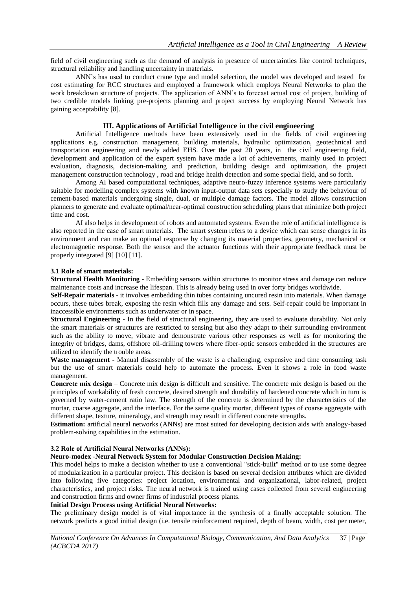field of civil engineering such as the demand of analysis in presence of uncertainties like control techniques, structural reliability and handling uncertainty in materials.

ANN's has used to conduct crane type and model selection, the model was developed and tested for cost estimating for RCC structures and employed a framework which employs Neural Networks to plan the work breakdown structure of projects. The application of ANN's to forecast actual cost of project, building of two credible models linking pre-projects planning and project success by employing Neural Network has gaining acceptability [8].

# **III. Applications of Artificial Intelligence in the civil engineering**

Artificial Intelligence methods have been extensively used in the fields of civil engineering applications e.g. construction management, building materials, hydraulic optimization, geotechnical and transportation engineering and newly added EHS. Over the past 20 years, in the civil engineering field, development and application of the expert system have made a lot of achievements, mainly used in project evaluation, diagnosis, decision-making and prediction, building design and optimization, the project management construction technology , road and bridge health detection and some special field, and so forth.

Among AI based computational techniques, adaptive neuro-fuzzy inference systems were particularly suitable for modelling complex systems with known input-output data sets especially to study the behaviour of cement-based materials undergoing single, dual, or multiple damage factors. The model allows construction planners to generate and evaluate optimal/near-optimal construction scheduling plans that minimize both project time and cost.

AI also helps in development of robots and automated systems. Even the role of artificial intelligence is also reported in the case of smart materials. The smart system refers to a device which can sense changes in its environment and can make an optimal response by changing its material properties, geometry, mechanical or electromagnetic response. Both the sensor and the actuator functions with their appropriate feedback must be properly integrated [9] [10] [11].

## **3.1 Role of smart materials:**

**Structural Health Monitoring** - Embedding sensors within structures to monitor stress and damage can reduce maintenance costs and increase the lifespan. This is already being used in over forty bridges worldwide.

**Self-Repair materials** - it involves embedding thin tubes containing uncured resin into materials. When damage occurs, these tubes break, exposing the resin which fills any damage and sets. Self-repair could be important in inaccessible environments such as underwater or in space.

**Structural Engineering** - In the field of structural engineering, they are used to evaluate durability. Not only the smart materials or structures are restricted to sensing but also they adapt to their surrounding environment such as the ability to move, vibrate and demonstrate various other responses as well as for monitoring the integrity of bridges, dams, offshore oil-drilling towers where fiber-optic sensors embedded in the structures are utilized to identify the trouble areas.

**Waste management -** Manual disassembly of the waste is a challenging, expensive and time consuming task but the use of smart materials could help to automate the process. Even it shows a role in food waste management.

**Concrete mix design** – Concrete mix design is difficult and sensitive. The concrete mix design is based on the principles of workability of fresh concrete, desired strength and durability of hardened concrete which in turn is governed by water-cement ratio law. The strength of the concrete is determined by the characteristics of the mortar, coarse aggregate, and the interface. For the same quality mortar, different types of coarse aggregate with different shape, texture, mineralogy, and strength may result in different concrete strengths.

**Estimation:** artificial neural networks (ANNs) are most suited for developing decision aids with analogy-based problem-solving capabilities in the estimation.

## **3.2 Role of Artificial Neural Networks (ANNs):**

# **Neuro-modex -Neural Network System for Modular Construction Decision Making:**

This model helps to make a decision whether to use a conventional "stick-built" method or to use some degree of modularization in a particular project. This decision is based on several decision attributes which are divided into following five categories: project location, environmental and organizational, labor-related, project characteristics, and project risks. The neural network is trained using cases collected from several engineering and construction firms and owner firms of industrial process plants.

# **Initial Design Process using Artificial Neural Networks:**

The preliminary design model is of vital importance in the synthesis of a finally acceptable solution. The network predicts a good initial design (i.e. tensile reinforcement required, depth of beam, width, cost per meter,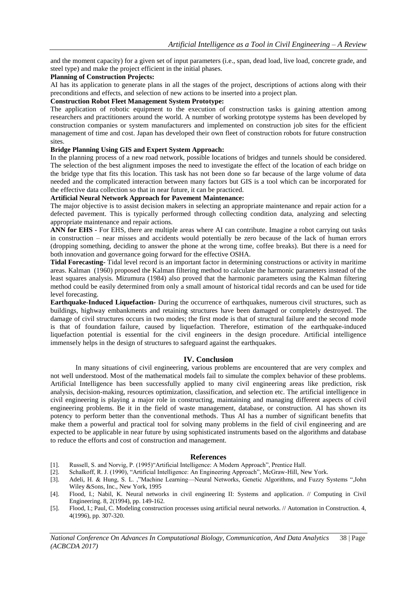and the moment capacity) for a given set of input parameters (i.e., span, dead load, live load, concrete grade, and steel type) and make the project efficient in the initial phases.

# **Planning of Construction Projects:**

AI has its application to generate plans in all the stages of the project, descriptions of actions along with their preconditions and effects, and selection of new actions to be inserted into a project plan.

## **Construction Robot Fleet Management System Prototype:**

The application of robotic equipment to the execution of construction tasks is gaining attention among researchers and practitioners around the world. A number of working prototype systems has been developed by construction companies or system manufacturers and implemented on construction job sites for the efficient management of time and cost. Japan has developed their own fleet of construction robots for future construction sites.

# **Bridge Planning Using GIS and Expert System Approach:**

In the planning process of a new road network, possible locations of bridges and tunnels should be considered. The selection of the best alignment imposes the need to investigate the effect of the location of each bridge on the bridge type that fits this location. This task has not been done so far because of the large volume of data needed and the complicated interaction between many factors but GIS is a tool which can be incorporated for the effective data collection so that in near future, it can be practiced.

### **Artificial Neural Network Approach for Pavement Maintenance:**

The major objective is to assist decision makers in selecting an appropriate maintenance and repair action for a defected pavement. This is typically performed through collecting condition data, analyzing and selecting appropriate maintenance and repair actions.

**ANN for EHS -** For EHS, there are multiple areas where AI can contribute. Imagine a robot carrying out tasks in construction – near misses and accidents would potentially be zero because of the lack of human errors (dropping something, deciding to answer the phone at the wrong time, coffee breaks). But there is a need for both innovation and governance going forward for the effective OSHA.

**Tidal Forecasting-** Tidal level record is an important factor in determining constructions or activity in maritime areas. Kalman (1960) proposed the Kalman filtering method to calculate the harmonic parameters instead of the least squares analysis. Mizumura (1984) also proved that the harmonic parameters using the Kalman filtering method could be easily determined from only a small amount of historical tidal records and can be used for tide level forecasting.

**Earthquake-Induced Liquefaction-** During the occurrence of earthquakes, numerous civil structures, such as buildings, highway embankments and retaining structures have been damaged or completely destroyed. The damage of civil structures occurs in two modes; the first mode is that of structural failure and the second mode is that of foundation failure, caused by liquefaction. Therefore, estimation of the earthquake-induced liquefaction potential is essential for the civil engineers in the design procedure. Artificial intelligence immensely helps in the design of structures to safeguard against the earthquakes.

## **IV. Conclusion**

In many situations of civil engineering, various problems are encountered that are very complex and not well understood. Most of the mathematical models fail to simulate the complex behavior of these problems. Artificial Intelligence has been successfully applied to many civil engineering areas like prediction, risk analysis, decision-making, resources optimization, classification, and selection etc. The artificial intelligence in civil engineering is playing a major role in constructing, maintaining and managing different aspects of civil engineering problems. Be it in the field of waste management, database, or construction. AI has shown its potency to perform better than the conventional methods. Thus AI has a number of significant benefits that make them a powerful and practical tool for solving many problems in the field of civil engineering and are expected to be applicable in near future by using sophisticated instruments based on the algorithms and database to reduce the efforts and cost of construction and management.

### **References**

- [1]. Russell, S. and Norvig, P. (1995) "Artificial Intelligence: A Modern Approach", Prentice Hall.
- [2]. Schalkoff, R. J. (1990), "Artificial Intelligence: An Engineering Approach", McGraw-Hill, New York.
- [3]. Adeli, H. & Hung, S. L. ,"Machine Learning—Neural Networks, Genetic Algorithms, and Fuzzy Systems ",John Wiley &Sons, Inc., New York, 1995
- [4]. Flood, I.; Nabil, K. Neural networks in civil engineering II: Systems and application. // Computing in Civil Engineering. 8, 2(1994), pp. 149-162.
- [5]. Flood, I.; Paul, C. Modeling construction processes using artificial neural networks. // Automation in Construction. 4, 4(1996), pp. 307-320.

*National Conference On Advances In Computational Biology, Communication, And Data Analytics* 38 | Page *(ACBCDA 2017)*